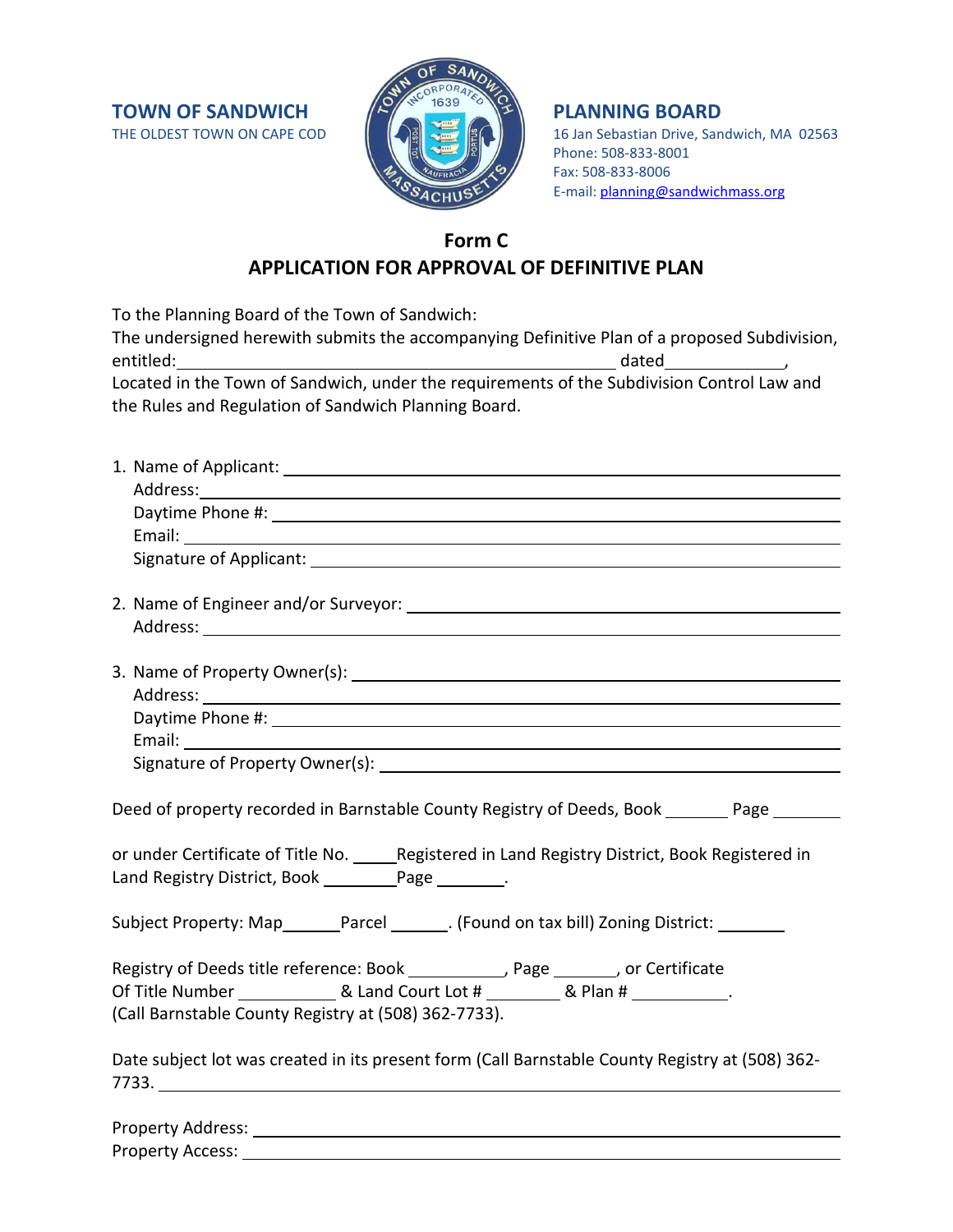**TOWN OF SANDWICH THE OLDEST TOWN ON CAPE COD** 



16 Jan Sebastian Drive, Sandwich, MA 02563 Phone: 508-833-8001 Fax: 508-833-8006 E-mail: [planning@sandwichmass.org](mailto:planning@sandwichmass.org)

# **Form C APPLICATION FOR APPROVAL OF DEFINITIVE PLAN**

To the Planning Board of the Town of Sandwich:

| The undersigned herewith submits the accompanying Definitive Plan of a proposed Subdivision, |                                                                                                                |  |
|----------------------------------------------------------------------------------------------|----------------------------------------------------------------------------------------------------------------|--|
| entitled:                                                                                    | dated and the state of the state of the state of the state of the state of the state of the state of the state |  |
| Located in the Town of Sandwich, under the requirements of the Subdivision Control Law and   |                                                                                                                |  |
| the Rules and Regulation of Sandwich Planning Board.                                         |                                                                                                                |  |

| Deed of property recorded in Barnstable County Registry of Deeds, Book _______ Page ______      |  |  |
|-------------------------------------------------------------------------------------------------|--|--|
|                                                                                                 |  |  |
| or under Certificate of Title No. _____Registered in Land Registry District, Book Registered in |  |  |
| Land Registry District, Book ________________________.                                          |  |  |
|                                                                                                 |  |  |
| Subject Property: Map_______Parcel _______. (Found on tax bill) Zoning District: _______        |  |  |
| Registry of Deeds title reference: Book ___________, Page _______, or Certificate               |  |  |
|                                                                                                 |  |  |
| (Call Barnstable County Registry at (508) 362-7733).                                            |  |  |
|                                                                                                 |  |  |
| Date subject lot was created in its present form (Call Barnstable County Registry at (508) 362- |  |  |
| 7733.                                                                                           |  |  |

| <b>Property Address:</b> |  |
|--------------------------|--|
| <b>Property Access:</b>  |  |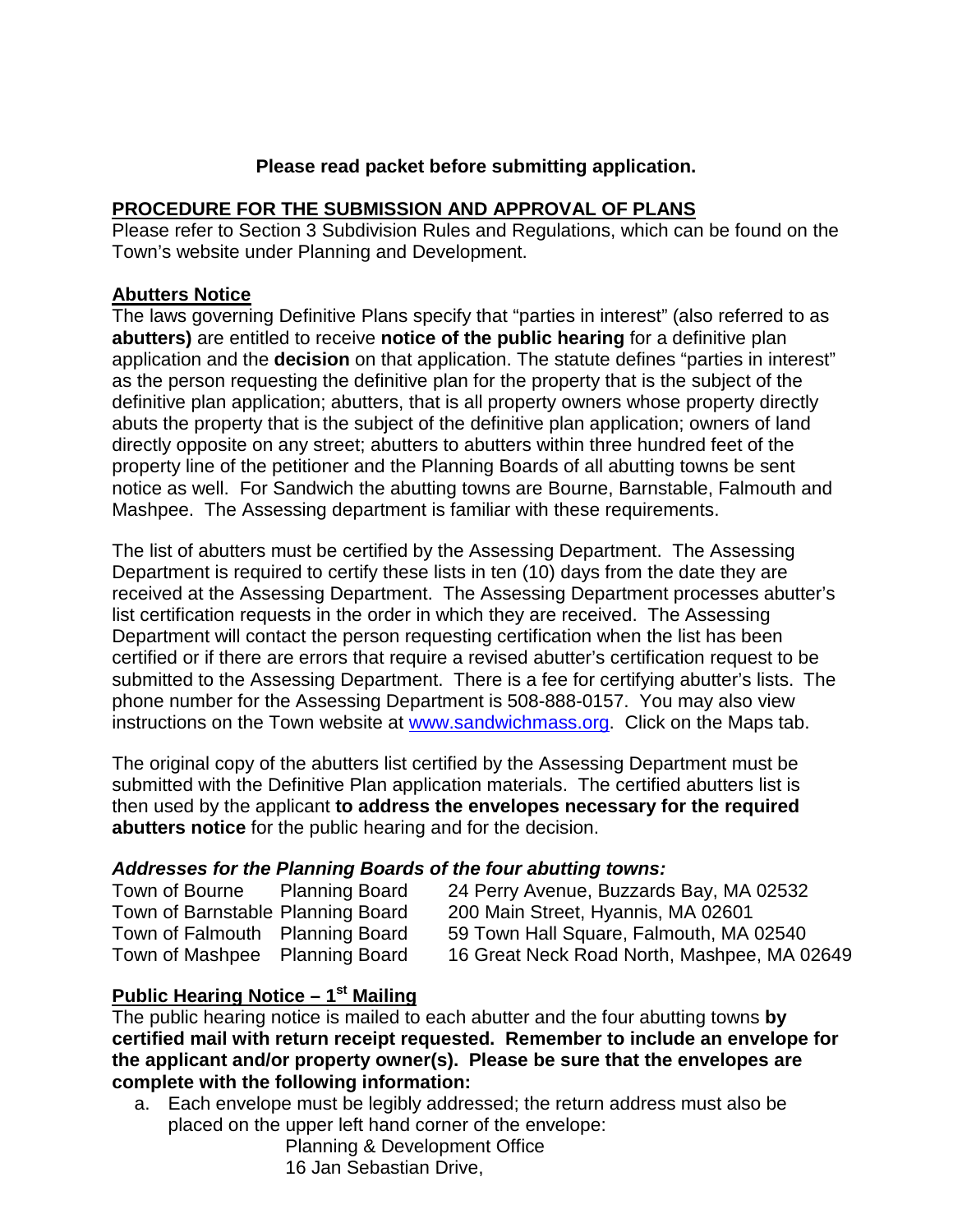## **Please read packet before submitting application.**

## **PROCEDURE FOR THE SUBMISSION AND APPROVAL OF PLANS**

Please refer to Section 3 Subdivision Rules and Regulations, which can be found on the Town's website under Planning and Development.

## **Abutters Notice**

The laws governing Definitive Plans specify that "parties in interest" (also referred to as **abutters)** are entitled to receive **notice of the public hearing** for a definitive plan application and the **decision** on that application. The statute defines "parties in interest" as the person requesting the definitive plan for the property that is the subject of the definitive plan application; abutters, that is all property owners whose property directly abuts the property that is the subject of the definitive plan application; owners of land directly opposite on any street; abutters to abutters within three hundred feet of the property line of the petitioner and the Planning Boards of all abutting towns be sent notice as well. For Sandwich the abutting towns are Bourne, Barnstable, Falmouth and Mashpee. The Assessing department is familiar with these requirements.

The list of abutters must be certified by the Assessing Department. The Assessing Department is required to certify these lists in ten (10) days from the date they are received at the Assessing Department. The Assessing Department processes abutter's list certification requests in the order in which they are received. The Assessing Department will contact the person requesting certification when the list has been certified or if there are errors that require a revised abutter's certification request to be submitted to the Assessing Department. There is a fee for certifying abutter's lists. The phone number for the Assessing Department is 508-888-0157. You may also view instructions on the Town website at **www.sandwichmass.org.** Click on the Maps tab.

The original copy of the abutters list certified by the Assessing Department must be submitted with the Definitive Plan application materials. The certified abutters list is then used by the applicant **to address the envelopes necessary for the required abutters notice** for the public hearing and for the decision.

## *Addresses for the Planning Boards of the four abutting towns:*

| Town of Bourne                    | <b>Planning Board</b> |
|-----------------------------------|-----------------------|
| Town of Barnstable Planning Board |                       |
| Town of Falmouth                  | <b>Planning Board</b> |
| Town of Mashpee                   | <b>Planning Board</b> |

24 Perry Avenue, Buzzards Bay, MA 02532 200 Main Street, Hyannis, MA 02601 59 Town Hall Square, Falmouth, MA 02540 16 Great Neck Road North, Mashpee, MA 02649

## **Public Hearing Notice – 1st Mailing**

The public hearing notice is mailed to each abutter and the four abutting towns **by certified mail with return receipt requested. Remember to include an envelope for the applicant and/or property owner(s). Please be sure that the envelopes are complete with the following information:**

a. Each envelope must be legibly addressed; the return address must also be placed on the upper left hand corner of the envelope:

Planning & Development Office 16 Jan Sebastian Drive,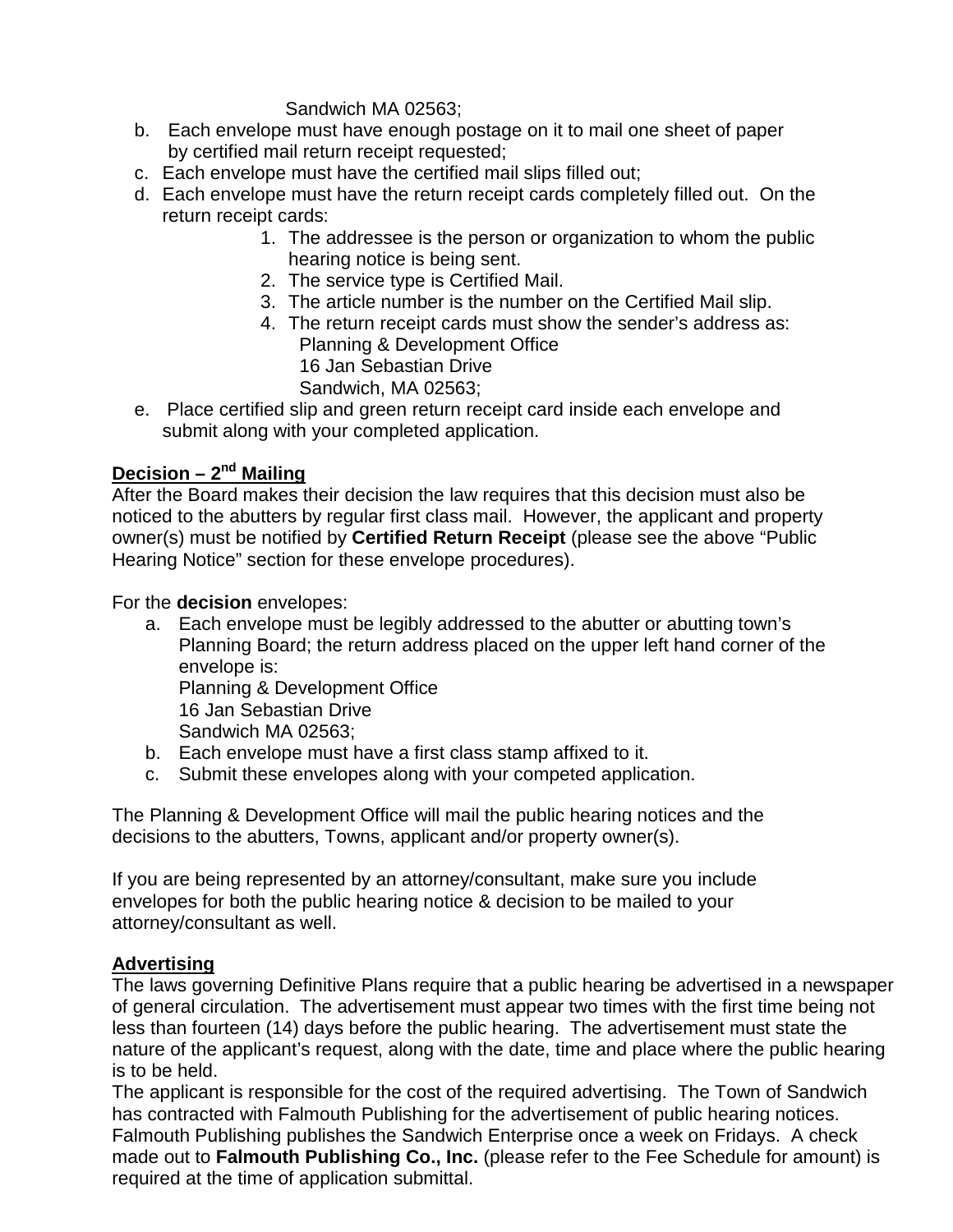## Sandwich MA 02563;

- b. Each envelope must have enough postage on it to mail one sheet of paper by certified mail return receipt requested;
- c. Each envelope must have the certified mail slips filled out;
- d. Each envelope must have the return receipt cards completely filled out. On the return receipt cards:
	- 1. The addressee is the person or organization to whom the public hearing notice is being sent.
	- 2. The service type is Certified Mail.
	- 3. The article number is the number on the Certified Mail slip.
	- 4. The return receipt cards must show the sender's address as: Planning & Development Office 16 Jan Sebastian Drive Sandwich, MA 02563;
- e. Place certified slip and green return receipt card inside each envelope and submit along with your completed application.

## **Decision – 2nd Mailing**

After the Board makes their decision the law requires that this decision must also be noticed to the abutters by regular first class mail. However, the applicant and property owner(s) must be notified by **Certified Return Receipt** (please see the above "Public Hearing Notice" section for these envelope procedures).

For the **decision** envelopes:

a. Each envelope must be legibly addressed to the abutter or abutting town's Planning Board; the return address placed on the upper left hand corner of the envelope is: Planning & Development Office 16 Jan Sebastian Drive

Sandwich MA 02563;

- b. Each envelope must have a first class stamp affixed to it.
- c. Submit these envelopes along with your competed application.

The Planning & Development Office will mail the public hearing notices and the decisions to the abutters, Towns, applicant and/or property owner(s).

If you are being represented by an attorney/consultant, make sure you include envelopes for both the public hearing notice & decision to be mailed to your attorney/consultant as well.

## **Advertising**

The laws governing Definitive Plans require that a public hearing be advertised in a newspaper of general circulation. The advertisement must appear two times with the first time being not less than fourteen (14) days before the public hearing. The advertisement must state the nature of the applicant's request, along with the date, time and place where the public hearing is to be held.

The applicant is responsible for the cost of the required advertising. The Town of Sandwich has contracted with Falmouth Publishing for the advertisement of public hearing notices. Falmouth Publishing publishes the Sandwich Enterprise once a week on Fridays. A check made out to **Falmouth Publishing Co., Inc.** (please refer to the Fee Schedule for amount) is required at the time of application submittal.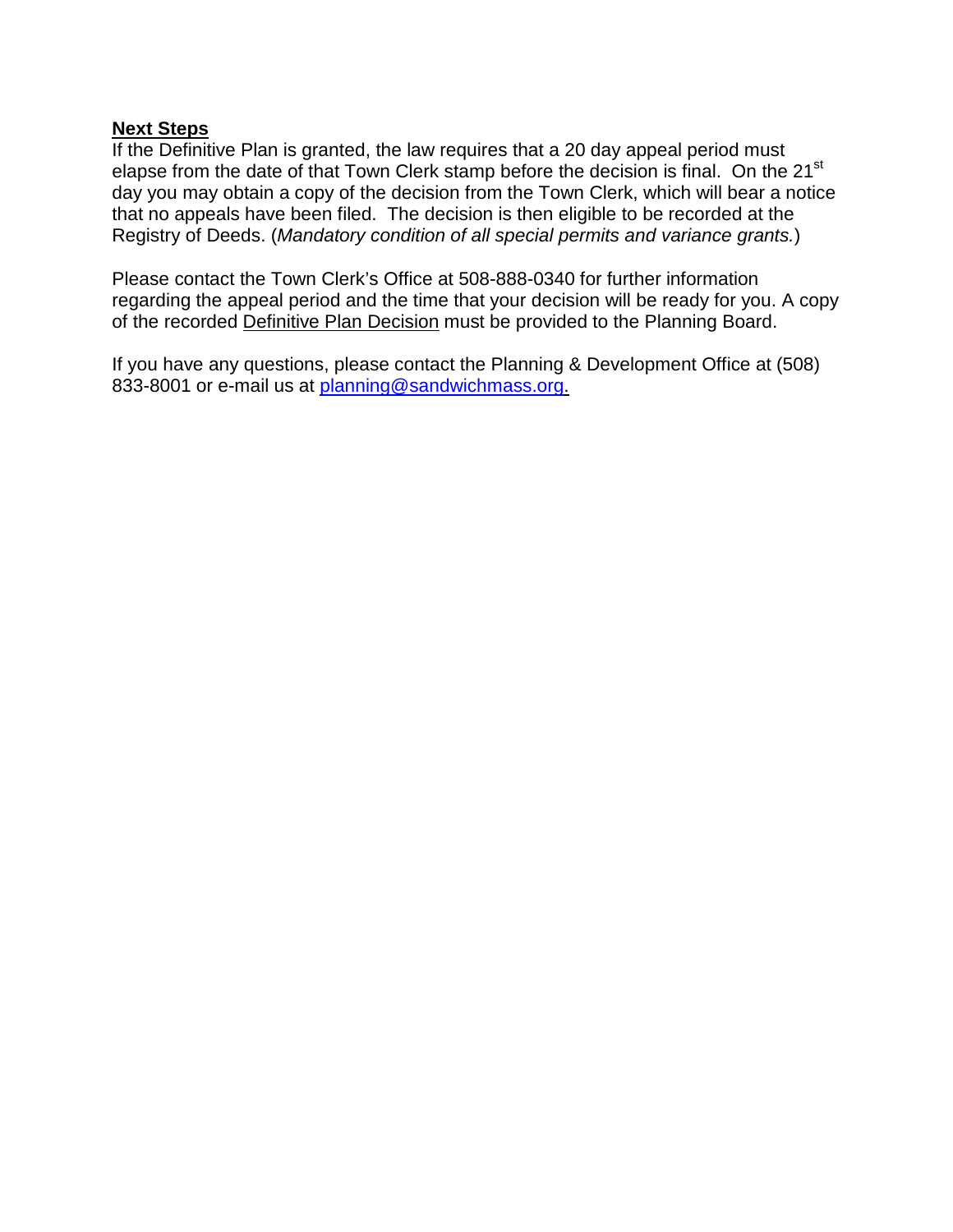#### **Next Steps**

If the Definitive Plan is granted, the law requires that a 20 day appeal period must elapse from the date of that Town Clerk stamp before the decision is final. On the 21<sup>st</sup> day you may obtain a copy of the decision from the Town Clerk, which will bear a notice that no appeals have been filed. The decision is then eligible to be recorded at the Registry of Deeds. (*Mandatory condition of all special permits and variance grants.*)

Please contact the Town Clerk's Office at 508-888-0340 for further information regarding the appeal period and the time that your decision will be ready for you. A copy of the recorded Definitive Plan Decision must be provided to the Planning Board.

If you have any questions, please contact the Planning & Development Office at (508) 833-8001 or e-mail us at [planning@sandwichmass.org.](mailto:planning@sandwichmass.org)